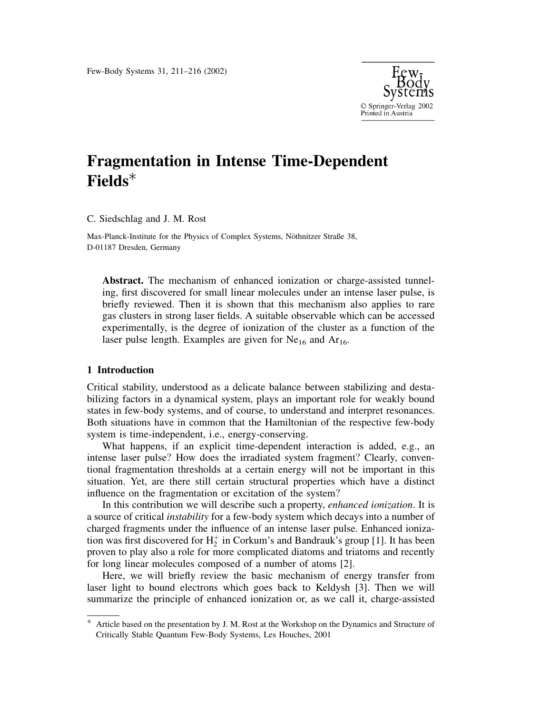

# **Fragmentation in Intense Time-Dependent**  $Fields^*$

C. Siedschlag and J. M. Rost

Max-Planck-Institute for the Physics of Complex Systems, Nöthnitzer Straße 38, D-01187 Dresden, Germany

**Abstract.** The mechanism of enhanced ionization or charge-assisted tunneling, first discovered for small linear molecules under an intense laser pulse, is briefly reviewed. Then it is shown that this mechanism also applies to rare gas clusters in strong laser fields. A suitable observable which can be accessed experimentally, is the degree of ionization of the cluster as a function of the laser pulse length. Examples are given for  $Ne_{16}$  and  $Ar_{16}$ .

## 1 Introduction

Critical stability, understood as a delicate balance between stabilizing and destabilizing factors in a dynamical system, plays an important role for weakly bound states in few-body systems, and of course, to understand and interpret resonances. Both situations have in common that the Hamiltonian of the respective few-body system is time-independent, i.e., energy-conserving.

What happens, if an explicit time-dependent interaction is added, e.g., an intense laser pulse? How does the irradiated system fragment? Clearly, conventional fragmentation thresholds at a certain energy will not be important in this situation. Yet, are there still certain structural properties which have a distinct influence on the fragmentation or excitation of the system?

In this contribution we will describe such a property, *enhanced ionization*. It is a source of critical *instability* for a few-body system which decays into a number of charged fragments under the influence of an intense laser pulse. Enhanced ionization was first discovered for  $H_2^+$  in Corkum's and Bandrauk's group [1]. It has been proven to play also a role for more complicated diatoms and triatoms and recently for long linear molecules composed of a number of atoms [2].

Here, we will briefly review the basic mechanism of energy transfer from laser light to bound electrons which goes back to Keldysh [3]. Then we will summarize the principle of enhanced ionization or, as we call it, charge-assisted

Article based on the presentation by J. M. Rost at the Workshop on the Dynamics and Structure of Critically Stable Quantum Few-Body Systems, Les Houches, 2001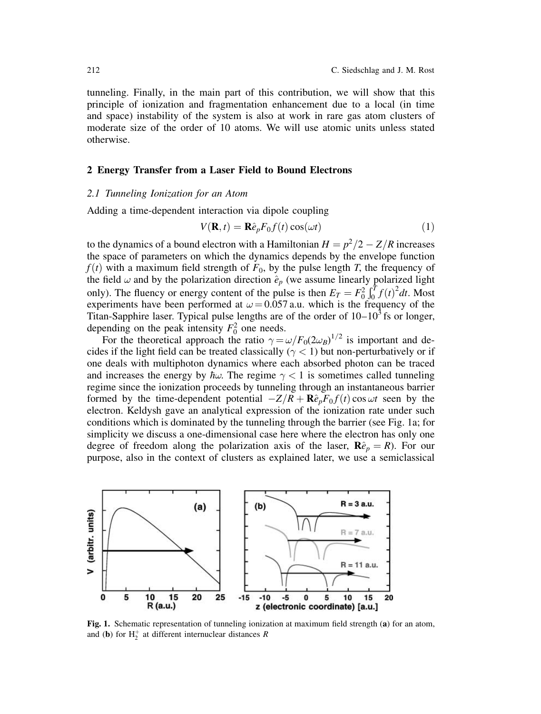tunneling. Finally, in the main part of this contribution, we will show that this principle of ionization and fragmentation enhancement due to a local (in time and space) instability of the system is also at work in rare gas atom clusters of moderate size of the order of 10 atoms. We will use atomic units unless stated otherwise.

#### 2 Energy Transfer from a Laser Field to Bound Electrons

#### 2.1 Tunneling Ionization for an Atom

Adding a time-dependent interaction via dipole coupling

$$
V(\mathbf{R},t) = \mathbf{R}\hat{e}_p F_0 f(t) \cos(\omega t)
$$
 (1)

to the dynamics of a bound electron with a Hamiltonian  $H = p^2/2 - Z/R$  increases the space of parameters on which the dynamics depends by the envelope function  $f(t)$  with a maximum field strength of  $F_0$ , by the pulse length T, the frequency of the field  $\omega$  and by the polarization direction  $\hat{e}_p$  (we assume linearly polarized light only). The fluency or energy content of the pulse is then  $E_T = F_0^2 \int_0^T f(t)^2 dt$ . Most experiments have been performed at  $\omega$  = 0.057 a.u. which is the frequency of the Titan-Sapphire laser. Typical pulse lengths are of the order of  $10-10<sup>3</sup>$  fs or longer, depending on the peak intensity  $F_0^2$  one needs.

For the theoretical approach the ratio  $\gamma = \omega/F_0(2\omega_B)^{1/2}$  is important and decides if the light field can be treated classically ( $\gamma$  < 1) but non-perturbatively or if one deals with multiphoton dynamics where each absorbed photon can be traced and increases the energy by  $\hbar\omega$ . The regime  $\gamma < 1$  is sometimes called tunneling regime since the ionization proceeds by tunneling through an instantaneous barrier formed by the time-dependent potential  $-Z/R + \mathbf{R}\hat{e}_p F_0 f(t) \cos \omega t$  seen by the electron. Keldysh gave an analytical expression of the ionization rate under such conditions which is dominated by the tunneling through the barrier (see Fig. 1a; for simplicity we discuss a one-dimensional case here where the electron has only one degree of freedom along the polarization axis of the laser,  $\mathbf{R}\hat{e}_p = R$ ). For our purpose, also in the context of clusters as explained later, we use a semiclassical



Fig. 1. Schematic representation of tunneling ionization at maximum field strength (a) for an atom, and (b) for  $H_2^+$  at different internuclear distances R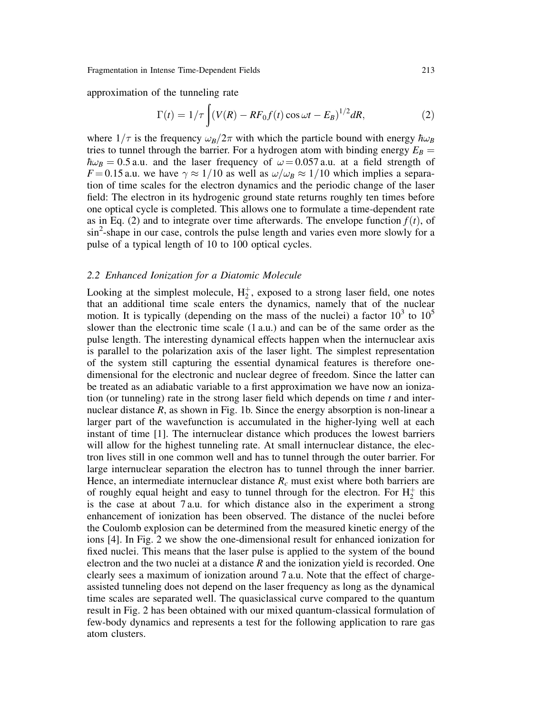approximation of the tunneling rate

$$
\Gamma(t) = 1/\tau \int (V(R) - RF_0 f(t) \cos \omega t - E_B)^{1/2} dR,
$$
\n(2)

where  $1/\tau$  is the frequency  $\omega_B/2\pi$  with which the particle bound with energy  $\hbar\omega_B$ tries to tunnel through the barrier. For a hydrogen atom with binding energy  $E_B =$  $\hbar\omega_B = 0.5$  a.u. and the laser frequency of  $\omega = 0.057$  a.u. at a field strength of  $F = 0.15$  a.u. we have  $\gamma \approx 1/10$  as well as  $\omega/\omega_B \approx 1/10$  which implies a separation of time scales for the electron dynamics and the periodic change of the laser field: The electron in its hydrogenic ground state returns roughly ten times before one optical cycle is completed. This allows one to formulate a time-dependent rate as in Eq. (2) and to integrate over time afterwards. The envelope function  $f(t)$ , of sin<sup>2</sup>-shape in our case, controls the pulse length and varies even more slowly for a pulse of a typical length of 10 to 100 optical cycles.

#### 2.2 Enhanced Ionization for a Diatomic Molecule

Looking at the simplest molecule,  $H_2^+$ , exposed to a strong laser field, one notes that an additional time scale enters the dynamics, namely that of the nuclear motion. It is typically (depending on the mass of the nuclei) a factor  $10^3$  to  $10^5$ slower than the electronic time scale (1 a.u.) and can be of the same order as the pulse length. The interesting dynamical effects happen when the internuclear axis is parallel to the polarization axis of the laser light. The simplest representation of the system still capturing the essential dynamical features is therefore onedimensional for the electronic and nuclear degree of freedom. Since the latter can be treated as an adiabatic variable to a first approximation we have now an ionization (or tunneling) rate in the strong laser field which depends on time  $t$  and internuclear distance  $R$ , as shown in Fig. 1b. Since the energy absorption is non-linear a larger part of the wavefunction is accumulated in the higher-lying well at each instant of time [1]. The internuclear distance which produces the lowest barriers will allow for the highest tunneling rate. At small internuclear distance, the electron lives still in one common well and has to tunnel through the outer barrier. For large internuclear separation the electron has to tunnel through the inner barrier. Hence, an intermediate internuclear distance  $R_c$  must exist where both barriers are of roughly equal height and easy to tunnel through for the electron. For  $H_2^+$  this is the case at about 7 a.u. for which distance also in the experiment a strong enhancement of ionization has been observed. The distance of the nuclei before the Coulomb explosion can be determined from the measured kinetic energy of the ions [4]. In Fig. 2 we show the one-dimensional result for enhanced ionization for fixed nuclei. This means that the laser pulse is applied to the system of the bound electron and the two nuclei at a distance R and the ionization yield is recorded. One clearly sees a maximum of ionization around 7 a.u. Note that the effect of chargeassisted tunneling does not depend on the laser frequency as long as the dynamical time scales are separated well. The quasiclassical curve compared to the quantum result in Fig. 2 has been obtained with our mixed quantum-classical formulation of few-body dynamics and represents a test for the following application to rare gas atom clusters.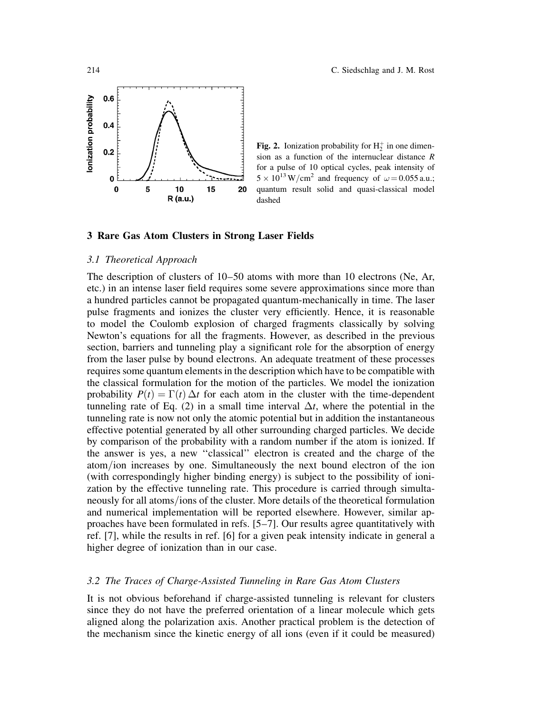

**Fig. 2.** Ionization probability for  $H_2^+$  in one dimension as a function of the internuclear distance  $R$ for a pulse of 10 optical cycles, peak intensity of  $5 \times 10^{13}$  W/cm<sup>2</sup> and frequency of  $\omega$  = 0.055 a.u.; quantum result solid and quasi-classical model dashed

#### 3 Rare Gas Atom Clusters in Strong Laser Fields

#### 3.1 Theoretical Approach

The description of clusters of  $10-50$  atoms with more than 10 electrons (Ne, Ar, etc.) in an intense laser field requires some severe approximations since more than a hundred particles cannot be propagated quantum-mechanically in time. The laser pulse fragments and ionizes the cluster very efficiently. Hence, it is reasonable to model the Coulomb explosion of charged fragments classically by solving Newton's equations for all the fragments. However, as described in the previous section, barriers and tunneling play a significant role for the absorption of energy from the laser pulse by bound electrons. An adequate treatment of these processes requires some quantum elements in the description which have to be compatible with the classical formulation for the motion of the particles. We model the ionization probability  $P(t) = \Gamma(t) \Delta t$  for each atom in the cluster with the time-dependent tunneling rate of Eq. (2) in a small time interval  $\Delta t$ , where the potential in the tunneling rate is now not only the atomic potential but in addition the instantaneous effective potential generated by all other surrounding charged particles. We decide by comparison of the probability with a random number if the atom is ionized. If the answer is yes, a new "classical" electron is created and the charge of the atom/ion increases by one. Simultaneously the next bound electron of the ion (with correspondingly higher binding energy) is subject to the possibility of ionization by the effective tunneling rate. This procedure is carried through simultaneously for all atoms/ions of the cluster. More details of the theoretical formulation and numerical implementation will be reported elsewhere. However, similar approaches have been formulated in refs. [5–7]. Our results agree quantitatively with ref. [7], while the results in ref. [6] for a given peak intensity indicate in general a higher degree of ionization than in our case.

## 3.2 The Traces of Charge-Assisted Tunneling in Rare Gas Atom Clusters

It is not obvious beforehand if charge-assisted tunneling is relevant for clusters since they do not have the preferred orientation of a linear molecule which gets aligned along the polarization axis. Another practical problem is the detection of the mechanism since the kinetic energy of all ions (even if it could be measured)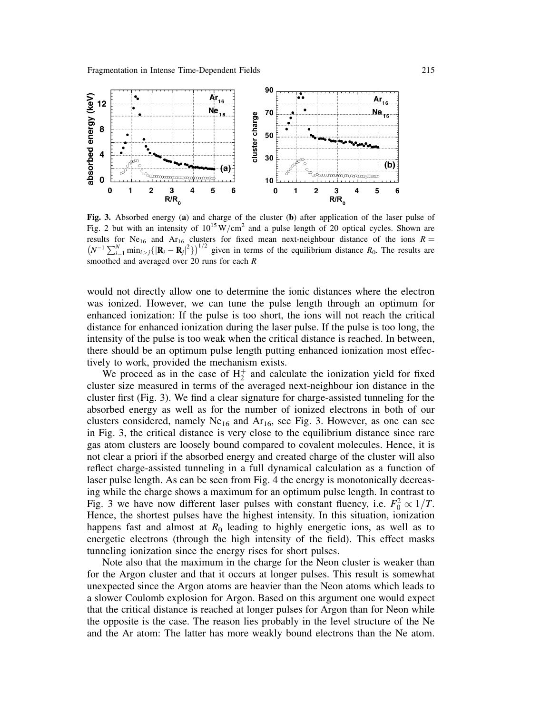

Fig. 3. Absorbed energy (a) and charge of the cluster (b) after application of the laser pulse of Fig. 2 but with an intensity of  $10^{15}$  W/cm<sup>2</sup> and a pulse length of 20 optical cycles. Shown are results for Ne<sub>16</sub> and Ar<sub>16</sub> clusters for fixed mean next-neighbour distance of the ions  $R =$  $(N^{-1}\sum_{i=1}^{N} \min_{i>j}\{|{\bf R}_i-{\bf R}_j|^2\})^{1/2}$  given in terms of the equilibrium distance  $R_0$ . The results are smoothed and averaged over  $20$  runs for each  $R$ 

would not directly allow one to determine the ionic distances where the electron was ionized. However, we can tune the pulse length through an optimum for enhanced ionization: If the pulse is too short, the ions will not reach the critical distance for enhanced ionization during the laser pulse. If the pulse is too long, the intensity of the pulse is too weak when the critical distance is reached. In between, there should be an optimum pulse length putting enhanced ionization most effectively to work, provided the mechanism exists.

We proceed as in the case of  $H_2^+$  and calculate the ionization yield for fixed cluster size measured in terms of the averaged next-neighbour ion distance in the cluster first (Fig. 3). We find a clear signature for charge-assisted tunneling for the absorbed energy as well as for the number of ionized electrons in both of our clusters considered, namely  $Ne_{16}$  and  $Ar_{16}$ , see Fig. 3. However, as one can see in Fig. 3, the critical distance is very close to the equilibrium distance since rare gas atom clusters are loosely bound compared to covalent molecules. Hence, it is not clear a priori if the absorbed energy and created charge of the cluster will also reflect charge-assisted tunneling in a full dynamical calculation as a function of laser pulse length. As can be seen from Fig. 4 the energy is monotonically decreasing while the charge shows a maximum for an optimum pulse length. In contrast to Fig. 3 we have now different laser pulses with constant fluency, i.e.  $F_0^2 \propto 1/T$ . Hence, the shortest pulses have the highest intensity. In this situation, ionization happens fast and almost at  $R_0$  leading to highly energetic ions, as well as to energetic electrons (through the high intensity of the field). This effect masks tunneling ionization since the energy rises for short pulses.

Note also that the maximum in the charge for the Neon cluster is weaker than for the Argon cluster and that it occurs at longer pulses. This result is somewhat unexpected since the Argon atoms are heavier than the Neon atoms which leads to a slower Coulomb explosion for Argon. Based on this argument one would expect that the critical distance is reached at longer pulses for Argon than for Neon while the opposite is the case. The reason lies probably in the level structure of the Ne and the Ar atom: The latter has more weakly bound electrons than the Ne atom.